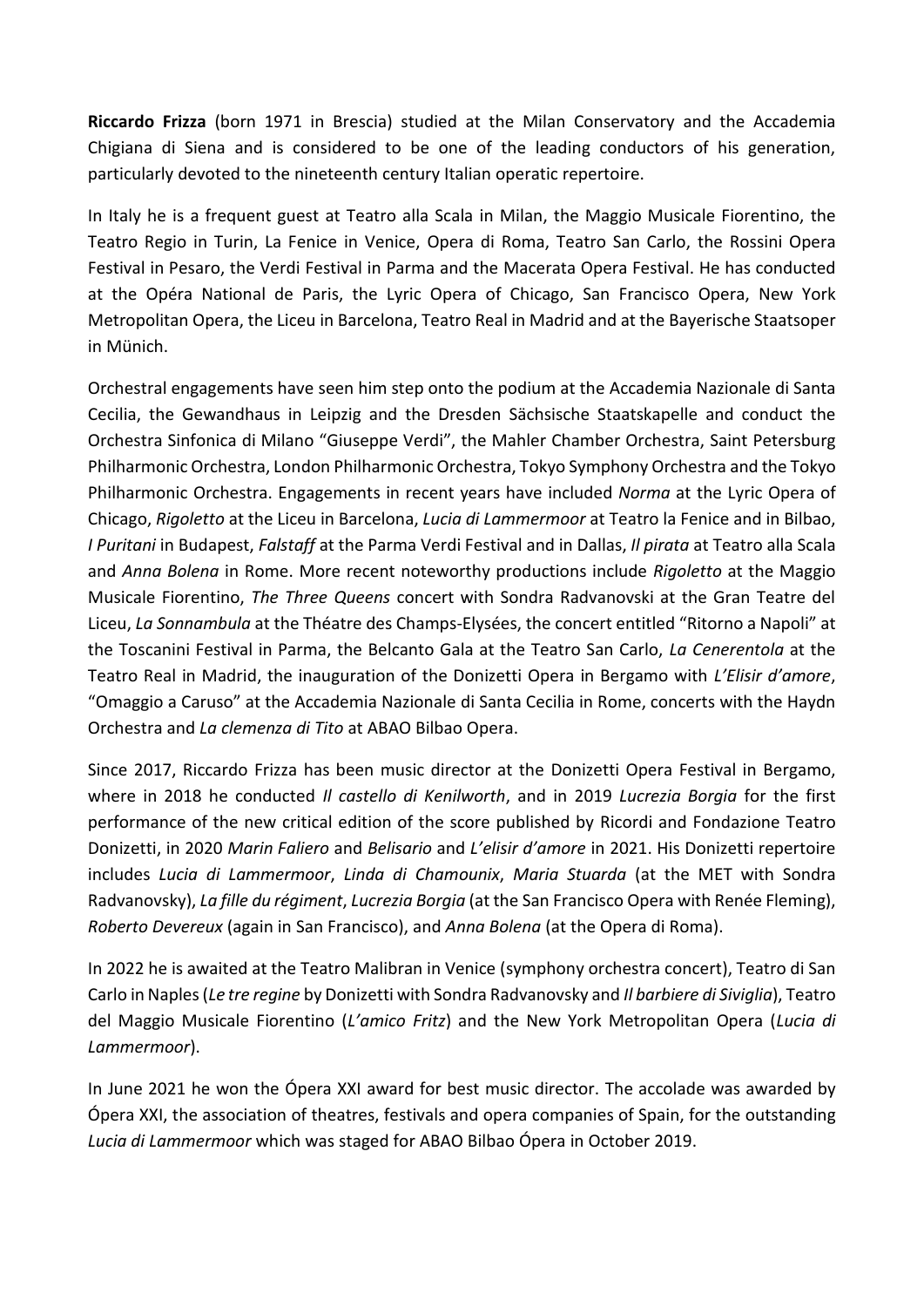**Riccardo Frizza** (born 1971 in Brescia) studied at the Milan Conservatory and the Accademia Chigiana di Siena and is considered to be one of the leading conductors of his generation, particularly devoted to the nineteenth century Italian operatic repertoire.

In Italy he is a frequent guest at Teatro alla Scala in Milan, the Maggio Musicale Fiorentino, the Teatro Regio in Turin, La Fenice in Venice, Opera di Roma, Teatro San Carlo, the Rossini Opera Festival in Pesaro, the Verdi Festival in Parma and the Macerata Opera Festival. He has conducted at the Opéra National de Paris, the Lyric Opera of Chicago, San Francisco Opera, New York Metropolitan Opera, the Liceu in Barcelona, Teatro Real in Madrid and at the Bayerische Staatsoper in Münich.

Orchestral engagements have seen him step onto the podium at the Accademia Nazionale di Santa Cecilia, the Gewandhaus in Leipzig and the Dresden Sächsische Staatskapelle and conduct the Orchestra Sinfonica di Milano "Giuseppe Verdi", the Mahler Chamber Orchestra, Saint Petersburg Philharmonic Orchestra, London Philharmonic Orchestra, Tokyo Symphony Orchestra and the Tokyo Philharmonic Orchestra. Engagements in recent years have included *Norma* at the Lyric Opera of Chicago, *Rigoletto* at the Liceu in Barcelona, *Lucia di Lammermoor* at Teatro la Fenice and in Bilbao, *I Puritani* in Budapest, *Falstaff* at the Parma Verdi Festival and in Dallas, *Il pirata* at Teatro alla Scala and *Anna Bolena* in Rome. More recent noteworthy productions include *Rigoletto* at the Maggio Musicale Fiorentino, *The Three Queens* concert with Sondra Radvanovski at the Gran Teatre del Liceu, *La Sonnambula* at the Théatre des Champs-Elysées, the concert entitled "Ritorno a Napoli" at the Toscanini Festival in Parma, the Belcanto Gala at the Teatro San Carlo, *La Cenerentola* at the Teatro Real in Madrid, the inauguration of the Donizetti Opera in Bergamo with *L'Elisir d'amore*, "Omaggio a Caruso" at the Accademia Nazionale di Santa Cecilia in Rome, concerts with the Haydn Orchestra and *La clemenza di Tito* at ABAO Bilbao Opera.

Since 2017, Riccardo Frizza has been music director at the Donizetti Opera Festival in Bergamo, where in 2018 he conducted *Il castello di Kenilworth*, and in 2019 *Lucrezia Borgia* for the first performance of the new critical edition of the score published by Ricordi and Fondazione Teatro Donizetti, in 2020 *Marin Faliero* and *Belisario* and *L'elisir d'amore* in 2021. His Donizetti repertoire includes *Lucia di Lammermoor*, *Linda di Chamounix*, *Maria Stuarda* (at the MET with Sondra Radvanovsky), *La fille du régiment*, *Lucrezia Borgia* (at the San Francisco Opera with Renée Fleming), *Roberto Devereux* (again in San Francisco), and *Anna Bolena* (at the Opera di Roma).

In 2022 he is awaited at the Teatro Malibran in Venice (symphony orchestra concert), Teatro di San Carlo in Naples (*Le tre regine* by Donizetti with Sondra Radvanovsky and *Il barbiere di Siviglia*), Teatro del Maggio Musicale Fiorentino (*L'amico Fritz*) and the New York Metropolitan Opera (*Lucia di Lammermoor*).

In June 2021 he won the Ópera XXI award for best music director. The accolade was awarded by Ópera XXI, the association of theatres, festivals and opera companies of Spain, for the outstanding *Lucia di Lammermoor* which was staged for ABAO Bilbao Ópera in October 2019.